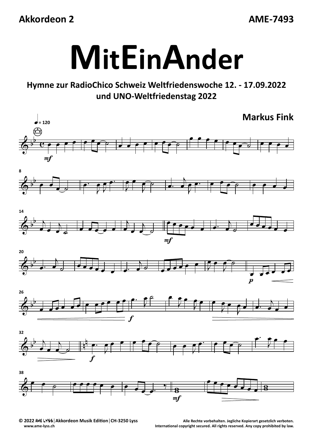## **Akkordeon 2**

**AME‐7493**



## **Hymne zur RadioChico Schweiz Weltfriedenswoche 12. ‐ 17.09.2022 und UNO‐Weltfriedenstag 2022**



ME LYSS | Akkordeon Musik Edition | CH-3250 Lyss Alle Rechte vorbehalten. Jegliche Kopierart gesetzlich verboten (CH-3250 Lyss Alle Rechte vorbehalten. Jegliche Kopierart gesetzlich verboten.<br>.www.ame-lyss.ch (CH-3250 Lyss **www.ame‐lyss.ch International copyright secured. All rights reserved. Any copy prohibited by law.**